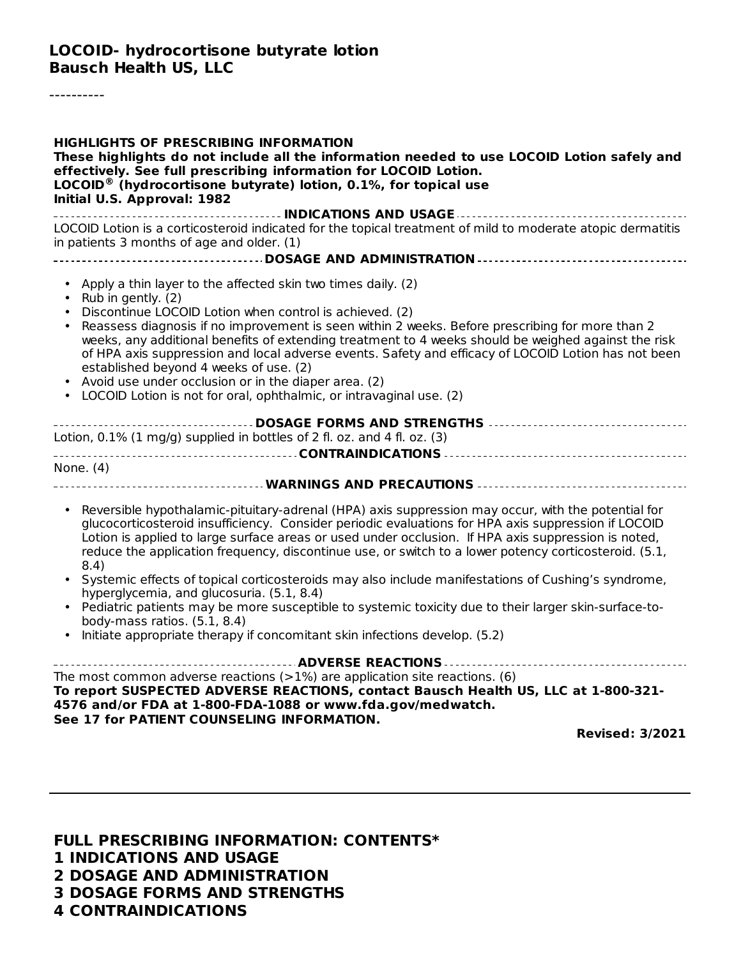----------

**FULL PRESCRIBING INFORMATION: CONTENTS\* INDICATIONS AND USAGE DOSAGE AND ADMINISTRATION DOSAGE FORMS AND STRENGTHS CONTRAINDICATIONS**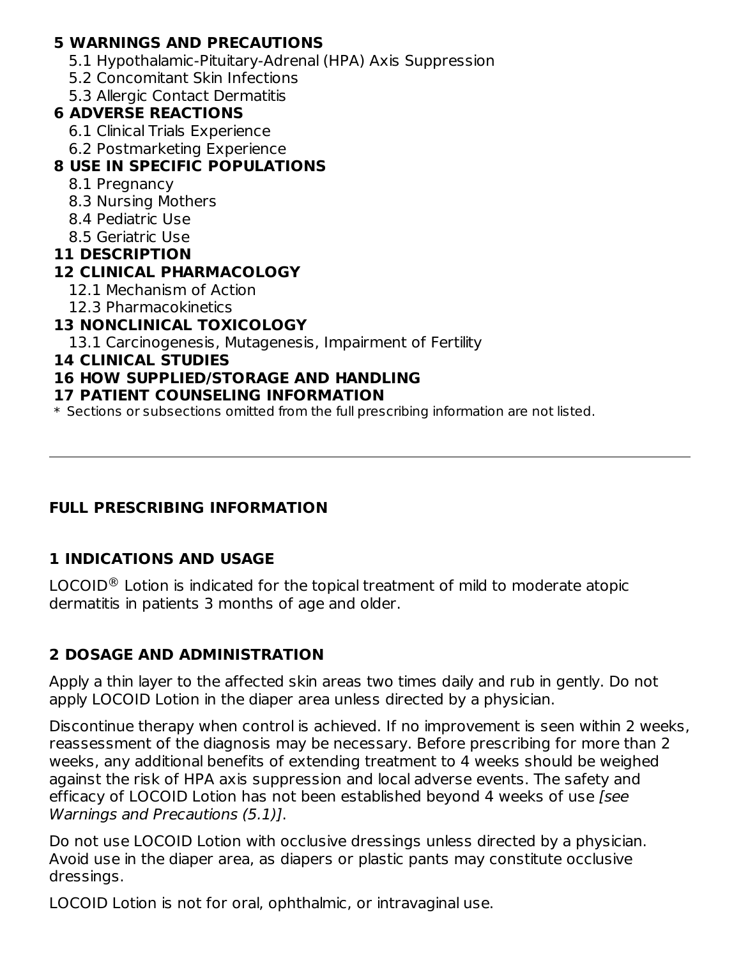#### **5 WARNINGS AND PRECAUTIONS**

- 5.1 Hypothalamic-Pituitary-Adrenal (HPA) Axis Suppression
- 5.2 Concomitant Skin Infections
- 5.3 Allergic Contact Dermatitis

# **6 ADVERSE REACTIONS**

- 6.1 Clinical Trials Experience
- 6.2 Postmarketing Experience

# **8 USE IN SPECIFIC POPULATIONS**

- 8.1 Pregnancy
- 8.3 Nursing Mothers
- 8.4 Pediatric Use
- 8.5 Geriatric Use
- **11 DESCRIPTION**

# **12 CLINICAL PHARMACOLOGY**

- 12.1 Mechanism of Action
- 12.3 Pharmacokinetics

# **13 NONCLINICAL TOXICOLOGY**

13.1 Carcinogenesis, Mutagenesis, Impairment of Fertility

#### **14 CLINICAL STUDIES**

# **16 HOW SUPPLIED/STORAGE AND HANDLING**

#### **17 PATIENT COUNSELING INFORMATION**

\* Sections or subsections omitted from the full prescribing information are not listed.

### **FULL PRESCRIBING INFORMATION**

# **1 INDICATIONS AND USAGE**

LOCOID $^\circledR$  Lotion is indicated for the topical treatment of mild to moderate atopic dermatitis in patients 3 months of age and older.

# **2 DOSAGE AND ADMINISTRATION**

Apply a thin layer to the affected skin areas two times daily and rub in gently. Do not apply LOCOID Lotion in the diaper area unless directed by a physician.

Discontinue therapy when control is achieved. If no improvement is seen within 2 weeks, reassessment of the diagnosis may be necessary. Before prescribing for more than 2 weeks, any additional benefits of extending treatment to 4 weeks should be weighed against the risk of HPA axis suppression and local adverse events. The safety and efficacy of LOCOID Lotion has not been established beyond 4 weeks of use [see Warnings and Precautions (5.1)].

Do not use LOCOID Lotion with occlusive dressings unless directed by a physician. Avoid use in the diaper area, as diapers or plastic pants may constitute occlusive dressings.

LOCOID Lotion is not for oral, ophthalmic, or intravaginal use.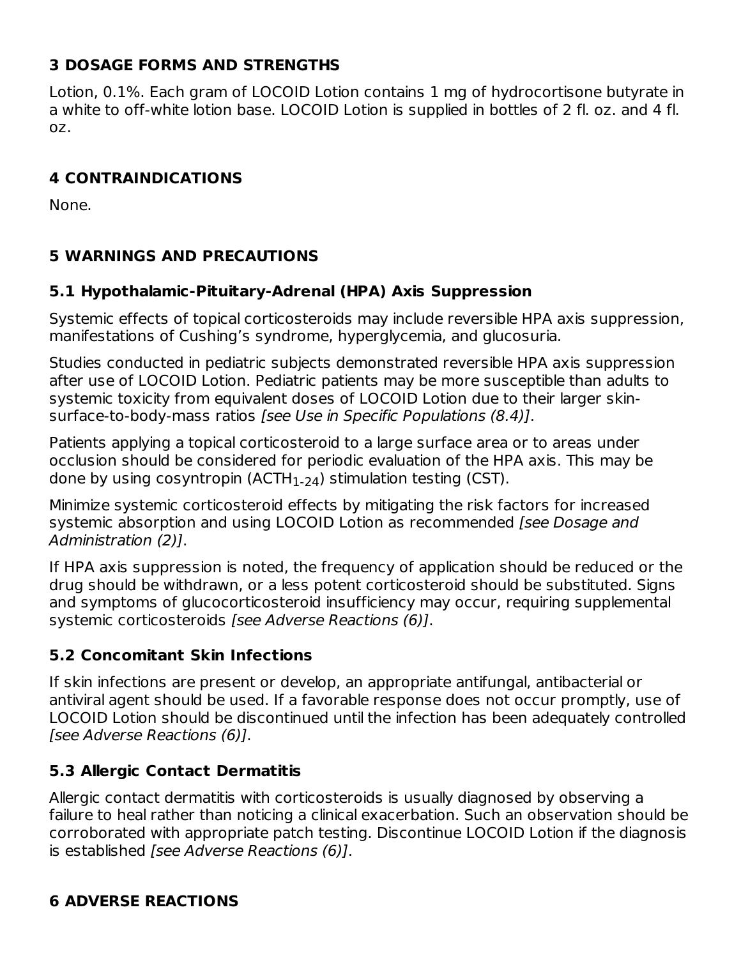# **3 DOSAGE FORMS AND STRENGTHS**

Lotion, 0.1%. Each gram of LOCOID Lotion contains 1 mg of hydrocortisone butyrate in a white to off-white lotion base. LOCOID Lotion is supplied in bottles of 2 fl. oz. and 4 fl. oz.

## **4 CONTRAINDICATIONS**

None.

### **5 WARNINGS AND PRECAUTIONS**

### **5.1 Hypothalamic-Pituitary-Adrenal (HPA) Axis Suppression**

Systemic effects of topical corticosteroids may include reversible HPA axis suppression, manifestations of Cushing's syndrome, hyperglycemia, and glucosuria.

Studies conducted in pediatric subjects demonstrated reversible HPA axis suppression after use of LOCOID Lotion. Pediatric patients may be more susceptible than adults to systemic toxicity from equivalent doses of LOCOID Lotion due to their larger skinsurface-to-body-mass ratios [see Use in Specific Populations (8.4)].

Patients applying a topical corticosteroid to a large surface area or to areas under occlusion should be considered for periodic evaluation of the HPA axis. This may be done by using cosyntropin (ACTH $_{\rm 1\text{-}24}$ ) stimulation testing (CST).

Minimize systemic corticosteroid effects by mitigating the risk factors for increased systemic absorption and using LOCOID Lotion as recommended [see Dosage and Administration (2)].

If HPA axis suppression is noted, the frequency of application should be reduced or the drug should be withdrawn, or a less potent corticosteroid should be substituted. Signs and symptoms of glucocorticosteroid insufficiency may occur, requiring supplemental systemic corticosteroids [see Adverse Reactions (6)].

### **5.2 Concomitant Skin Infections**

If skin infections are present or develop, an appropriate antifungal, antibacterial or antiviral agent should be used. If a favorable response does not occur promptly, use of LOCOID Lotion should be discontinued until the infection has been adequately controlled [see Adverse Reactions (6)].

### **5.3 Allergic Contact Dermatitis**

Allergic contact dermatitis with corticosteroids is usually diagnosed by observing a failure to heal rather than noticing a clinical exacerbation. Such an observation should be corroborated with appropriate patch testing. Discontinue LOCOID Lotion if the diagnosis is established [see Adverse Reactions (6)].

### **6 ADVERSE REACTIONS**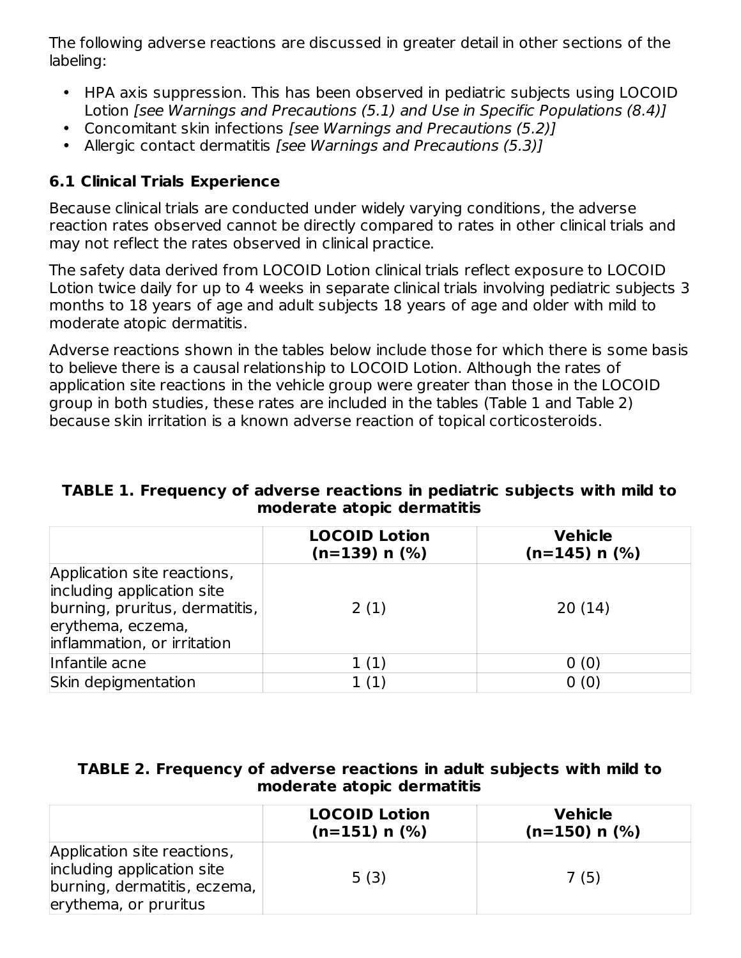The following adverse reactions are discussed in greater detail in other sections of the labeling:

- HPA axis suppression. This has been observed in pediatric subjects using LOCOID Lotion [see Warnings and Precautions (5.1) and Use in Specific Populations (8.4)]
- Concomitant skin infections [see Warnings and Precautions (5.2)]
- Allergic contact dermatitis [see Warnings and Precautions (5.3)]

## **6.1 Clinical Trials Experience**

Because clinical trials are conducted under widely varying conditions, the adverse reaction rates observed cannot be directly compared to rates in other clinical trials and may not reflect the rates observed in clinical practice.

The safety data derived from LOCOID Lotion clinical trials reflect exposure to LOCOID Lotion twice daily for up to 4 weeks in separate clinical trials involving pediatric subjects 3 months to 18 years of age and adult subjects 18 years of age and older with mild to moderate atopic dermatitis.

Adverse reactions shown in the tables below include those for which there is some basis to believe there is a causal relationship to LOCOID Lotion. Although the rates of application site reactions in the vehicle group were greater than those in the LOCOID group in both studies, these rates are included in the tables (Table 1 and Table 2) because skin irritation is a known adverse reaction of topical corticosteroids.

#### **TABLE 1. Frequency of adverse reactions in pediatric subjects with mild to moderate atopic dermatitis**

|                                                                                                                                                 | <b>LOCOID Lotion</b><br>$(n=139)$ n $(\%)$ | <b>Vehicle</b><br>$(n=145)$ n $(\%)$ |
|-------------------------------------------------------------------------------------------------------------------------------------------------|--------------------------------------------|--------------------------------------|
| Application site reactions,<br>including application site<br>burning, pruritus, dermatitis,<br>erythema, eczema,<br>inflammation, or irritation | 2(1)                                       | 20(14)                               |
| Infantile acne                                                                                                                                  | 1(1)                                       | 0(0)                                 |
| Skin depigmentation                                                                                                                             | 1(1)                                       | 0(0)                                 |

#### **TABLE 2. Frequency of adverse reactions in adult subjects with mild to moderate atopic dermatitis**

|                                                                                                                    | <b>LOCOID Lotion</b><br>$(n=151)$ n $(\%)$ | <b>Vehicle</b><br>$(n=150)$ n $(\%)$ |
|--------------------------------------------------------------------------------------------------------------------|--------------------------------------------|--------------------------------------|
| Application site reactions,<br>including application site<br>burning, dermatitis, eczema,<br>erythema, or pruritus | 5(3)                                       | 7 (5)                                |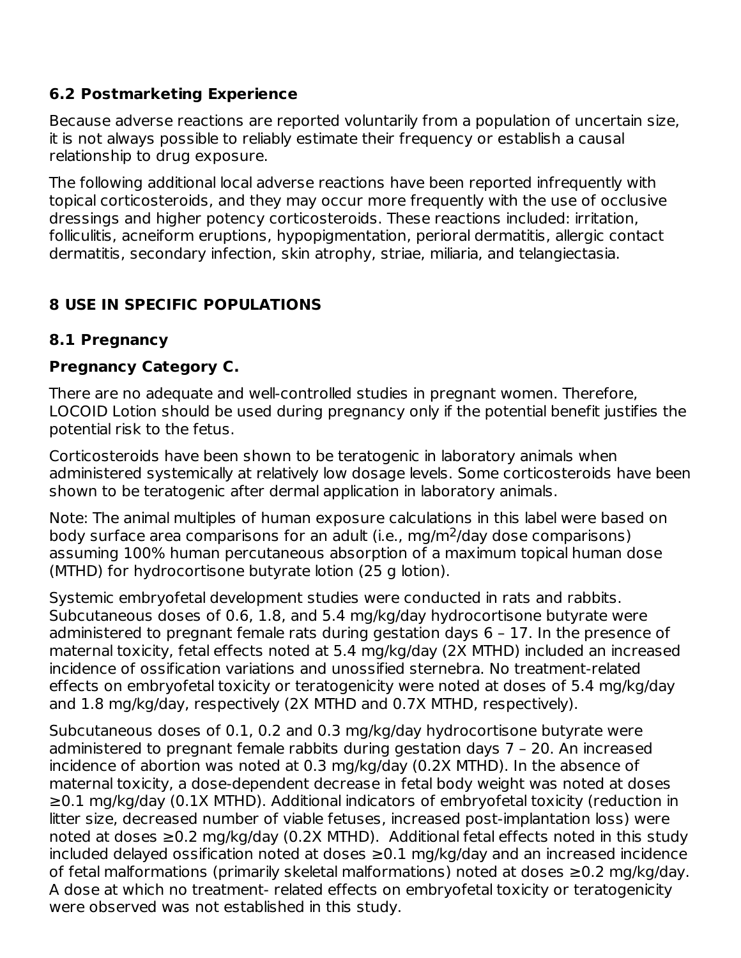### **6.2 Postmarketing Experience**

Because adverse reactions are reported voluntarily from a population of uncertain size, it is not always possible to reliably estimate their frequency or establish a causal relationship to drug exposure.

The following additional local adverse reactions have been reported infrequently with topical corticosteroids, and they may occur more frequently with the use of occlusive dressings and higher potency corticosteroids. These reactions included: irritation, folliculitis, acneiform eruptions, hypopigmentation, perioral dermatitis, allergic contact dermatitis, secondary infection, skin atrophy, striae, miliaria, and telangiectasia.

# **8 USE IN SPECIFIC POPULATIONS**

#### **8.1 Pregnancy**

#### **Pregnancy Category C.**

There are no adequate and well-controlled studies in pregnant women. Therefore, LOCOID Lotion should be used during pregnancy only if the potential benefit justifies the potential risk to the fetus.

Corticosteroids have been shown to be teratogenic in laboratory animals when administered systemically at relatively low dosage levels. Some corticosteroids have been shown to be teratogenic after dermal application in laboratory animals.

Note: The animal multiples of human exposure calculations in this label were based on body surface area comparisons for an adult (i.e., mg/m<sup>2</sup>/day dose comparisons) assuming 100% human percutaneous absorption of a maximum topical human dose (MTHD) for hydrocortisone butyrate lotion (25 g lotion).

Systemic embryofetal development studies were conducted in rats and rabbits. Subcutaneous doses of 0.6, 1.8, and 5.4 mg/kg/day hydrocortisone butyrate were administered to pregnant female rats during gestation days 6 – 17. In the presence of maternal toxicity, fetal effects noted at 5.4 mg/kg/day (2X MTHD) included an increased incidence of ossification variations and unossified sternebra. No treatment-related effects on embryofetal toxicity or teratogenicity were noted at doses of 5.4 mg/kg/day and 1.8 mg/kg/day, respectively (2X MTHD and 0.7X MTHD, respectively).

Subcutaneous doses of 0.1, 0.2 and 0.3 mg/kg/day hydrocortisone butyrate were administered to pregnant female rabbits during gestation days 7 – 20. An increased incidence of abortion was noted at 0.3 mg/kg/day (0.2X MTHD). In the absence of maternal toxicity, a dose-dependent decrease in fetal body weight was noted at doses ≥0.1 mg/kg/day (0.1X MTHD). Additional indicators of embryofetal toxicity (reduction in litter size, decreased number of viable fetuses, increased post-implantation loss) were noted at doses ≥0.2 mg/kg/day (0.2X MTHD). Additional fetal effects noted in this study included delayed ossification noted at doses ≥0.1 mg/kg/day and an increased incidence of fetal malformations (primarily skeletal malformations) noted at doses ≥0.2 mg/kg/day. A dose at which no treatment- related effects on embryofetal toxicity or teratogenicity were observed was not established in this study.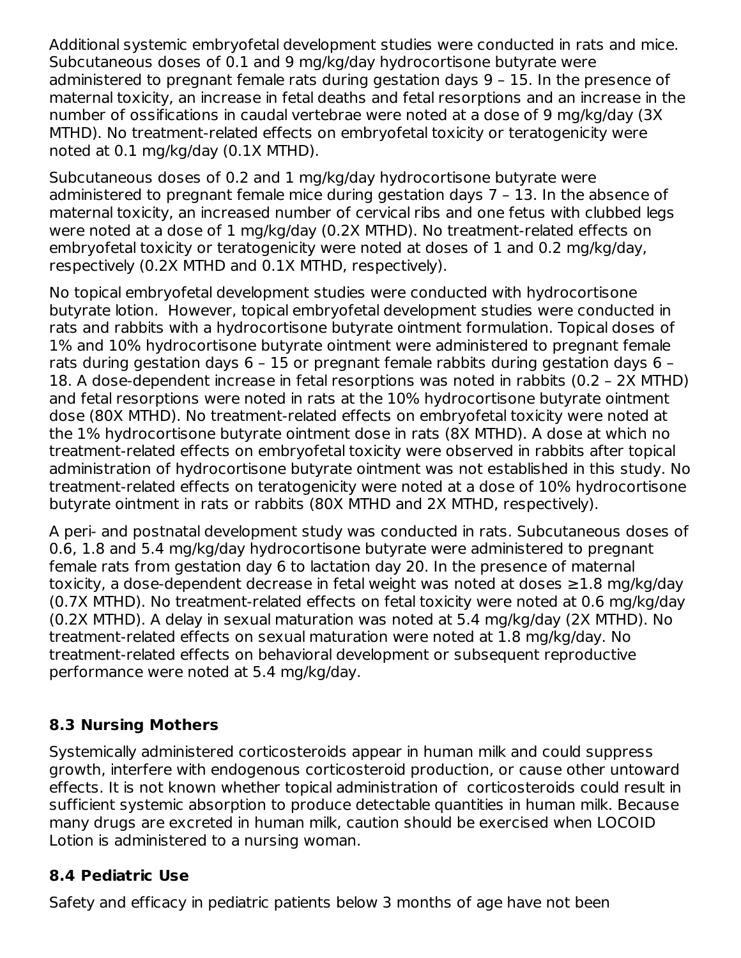Additional systemic embryofetal development studies were conducted in rats and mice. Subcutaneous doses of 0.1 and 9 mg/kg/day hydrocortisone butyrate were administered to pregnant female rats during gestation days 9 – 15. In the presence of maternal toxicity, an increase in fetal deaths and fetal resorptions and an increase in the number of ossifications in caudal vertebrae were noted at a dose of 9 mg/kg/day (3X MTHD). No treatment-related effects on embryofetal toxicity or teratogenicity were noted at 0.1 mg/kg/day (0.1X MTHD).

Subcutaneous doses of 0.2 and 1 mg/kg/day hydrocortisone butyrate were administered to pregnant female mice during gestation days 7 – 13. In the absence of maternal toxicity, an increased number of cervical ribs and one fetus with clubbed legs were noted at a dose of 1 mg/kg/day (0.2X MTHD). No treatment-related effects on embryofetal toxicity or teratogenicity were noted at doses of 1 and 0.2 mg/kg/day, respectively (0.2X MTHD and 0.1X MTHD, respectively).

No topical embryofetal development studies were conducted with hydrocortisone butyrate lotion. However, topical embryofetal development studies were conducted in rats and rabbits with a hydrocortisone butyrate ointment formulation. Topical doses of 1% and 10% hydrocortisone butyrate ointment were administered to pregnant female rats during gestation days 6 – 15 or pregnant female rabbits during gestation days 6 – 18. A dose-dependent increase in fetal resorptions was noted in rabbits (0.2 – 2X MTHD) and fetal resorptions were noted in rats at the 10% hydrocortisone butyrate ointment dose (80X MTHD). No treatment-related effects on embryofetal toxicity were noted at the 1% hydrocortisone butyrate ointment dose in rats (8X MTHD). A dose at which no treatment-related effects on embryofetal toxicity were observed in rabbits after topical administration of hydrocortisone butyrate ointment was not established in this study. No treatment-related effects on teratogenicity were noted at a dose of 10% hydrocortisone butyrate ointment in rats or rabbits (80X MTHD and 2X MTHD, respectively).

A peri- and postnatal development study was conducted in rats. Subcutaneous doses of 0.6, 1.8 and 5.4 mg/kg/day hydrocortisone butyrate were administered to pregnant female rats from gestation day 6 to lactation day 20. In the presence of maternal toxicity, a dose-dependent decrease in fetal weight was noted at doses ≥1.8 mg/kg/day (0.7X MTHD). No treatment-related effects on fetal toxicity were noted at 0.6 mg/kg/day (0.2X MTHD). A delay in sexual maturation was noted at 5.4 mg/kg/day (2X MTHD). No treatment-related effects on sexual maturation were noted at 1.8 mg/kg/day. No treatment-related effects on behavioral development or subsequent reproductive performance were noted at 5.4 mg/kg/day.

### **8.3 Nursing Mothers**

Systemically administered corticosteroids appear in human milk and could suppress growth, interfere with endogenous corticosteroid production, or cause other untoward effects. It is not known whether topical administration of corticosteroids could result in sufficient systemic absorption to produce detectable quantities in human milk. Because many drugs are excreted in human milk, caution should be exercised when LOCOID Lotion is administered to a nursing woman.

#### **8.4 Pediatric Use**

Safety and efficacy in pediatric patients below 3 months of age have not been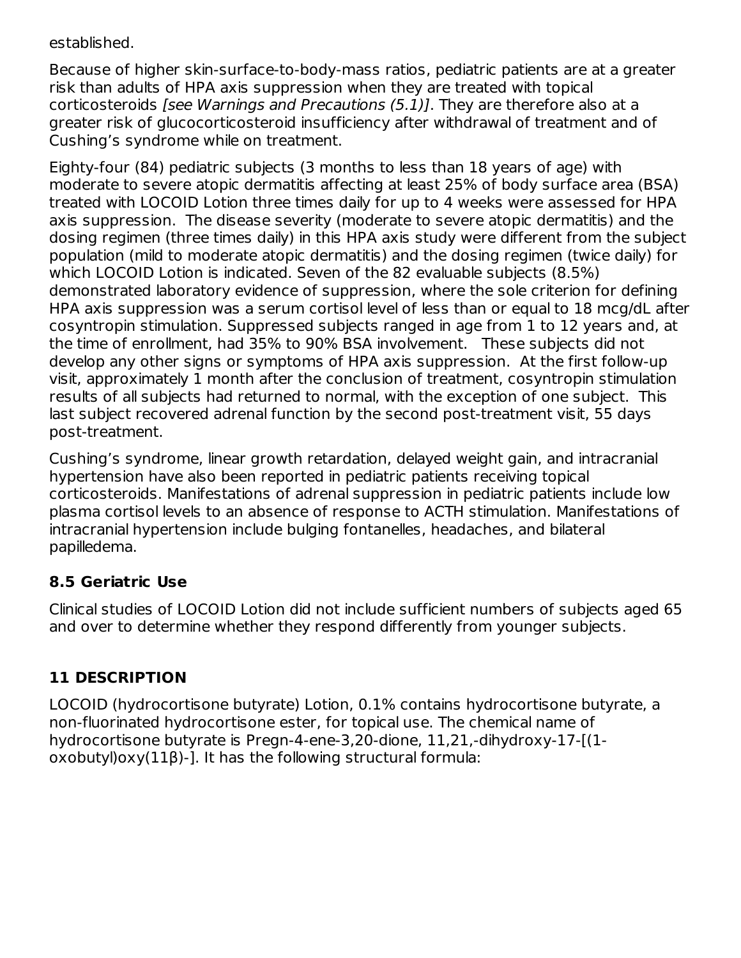established.

Because of higher skin-surface-to-body-mass ratios, pediatric patients are at a greater risk than adults of HPA axis suppression when they are treated with topical corticosteroids [see Warnings and Precautions (5.1)]. They are therefore also at a greater risk of glucocorticosteroid insufficiency after withdrawal of treatment and of Cushing's syndrome while on treatment.

Eighty-four (84) pediatric subjects (3 months to less than 18 years of age) with moderate to severe atopic dermatitis affecting at least 25% of body surface area (BSA) treated with LOCOID Lotion three times daily for up to 4 weeks were assessed for HPA axis suppression. The disease severity (moderate to severe atopic dermatitis) and the dosing regimen (three times daily) in this HPA axis study were different from the subject population (mild to moderate atopic dermatitis) and the dosing regimen (twice daily) for which LOCOID Lotion is indicated. Seven of the 82 evaluable subjects (8.5%) demonstrated laboratory evidence of suppression, where the sole criterion for defining HPA axis suppression was a serum cortisol level of less than or equal to 18 mcg/dL after cosyntropin stimulation. Suppressed subjects ranged in age from 1 to 12 years and, at the time of enrollment, had 35% to 90% BSA involvement. These subjects did not develop any other signs or symptoms of HPA axis suppression. At the first follow-up visit, approximately 1 month after the conclusion of treatment, cosyntropin stimulation results of all subjects had returned to normal, with the exception of one subject. This last subject recovered adrenal function by the second post-treatment visit, 55 days post-treatment.

Cushing's syndrome, linear growth retardation, delayed weight gain, and intracranial hypertension have also been reported in pediatric patients receiving topical corticosteroids. Manifestations of adrenal suppression in pediatric patients include low plasma cortisol levels to an absence of response to ACTH stimulation. Manifestations of intracranial hypertension include bulging fontanelles, headaches, and bilateral papilledema.

### **8.5 Geriatric Use**

Clinical studies of LOCOID Lotion did not include sufficient numbers of subjects aged 65 and over to determine whether they respond differently from younger subjects.

# **11 DESCRIPTION**

LOCOID (hydrocortisone butyrate) Lotion, 0.1% contains hydrocortisone butyrate, a non-fluorinated hydrocortisone ester, for topical use. The chemical name of hydrocortisone butyrate is Pregn-4-ene-3,20-dione, 11,21,-dihydroxy-17-[(1 oxobutyl)oxy(11β)-]. It has the following structural formula: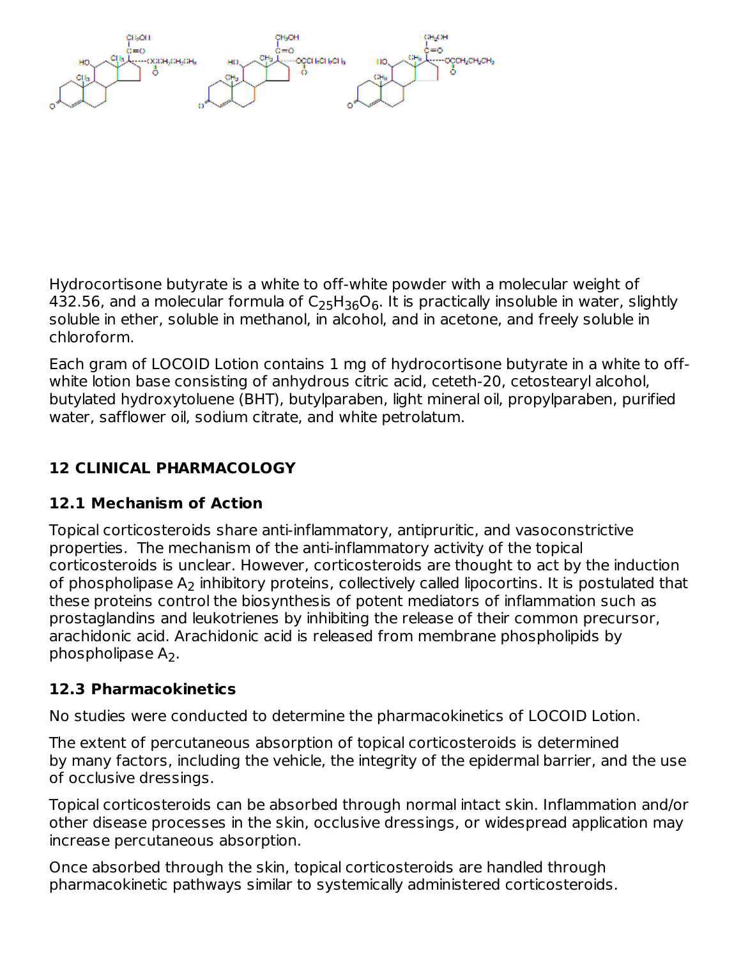Hydrocortisone butyrate is a white to off-white powder with a molecular weight of 432.56, and a molecular formula of  $\mathsf{C}_2$ 5H $_{36}\mathsf{O}_6$ . It is practically insoluble in water, slightly soluble in ether, soluble in methanol, in alcohol, and in acetone, and freely soluble in chloroform.

Each gram of LOCOID Lotion contains 1 mg of hydrocortisone butyrate in a white to offwhite lotion base consisting of anhydrous citric acid, ceteth-20, cetostearyl alcohol, butylated hydroxytoluene (BHT), butylparaben, light mineral oil, propylparaben, purified water, safflower oil, sodium citrate, and white petrolatum.

# **12 CLINICAL PHARMACOLOGY**

# **12.1 Mechanism of Action**

Topical corticosteroids share anti-inflammatory, antipruritic, and vasoconstrictive properties. The mechanism of the anti-inflammatory activity of the topical corticosteroids is unclear. However, corticosteroids are thought to act by the induction of phospholipase  ${\sf A_2}$  inhibitory proteins, collectively called lipocortins. It is postulated that these proteins control the biosynthesis of potent mediators of inflammation such as prostaglandins and leukotrienes by inhibiting the release of their common precursor, arachidonic acid. Arachidonic acid is released from membrane phospholipids by phospholipase  $A_2$ .

# **12.3 Pharmacokinetics**

No studies were conducted to determine the pharmacokinetics of LOCOID Lotion.

The extent of percutaneous absorption of topical corticosteroids is determined by many factors, including the vehicle, the integrity of the epidermal barrier, and the use of occlusive dressings.

Topical corticosteroids can be absorbed through normal intact skin. Inflammation and/or other disease processes in the skin, occlusive dressings, or widespread application may increase percutaneous absorption.

Once absorbed through the skin, topical corticosteroids are handled through pharmacokinetic pathways similar to systemically administered corticosteroids.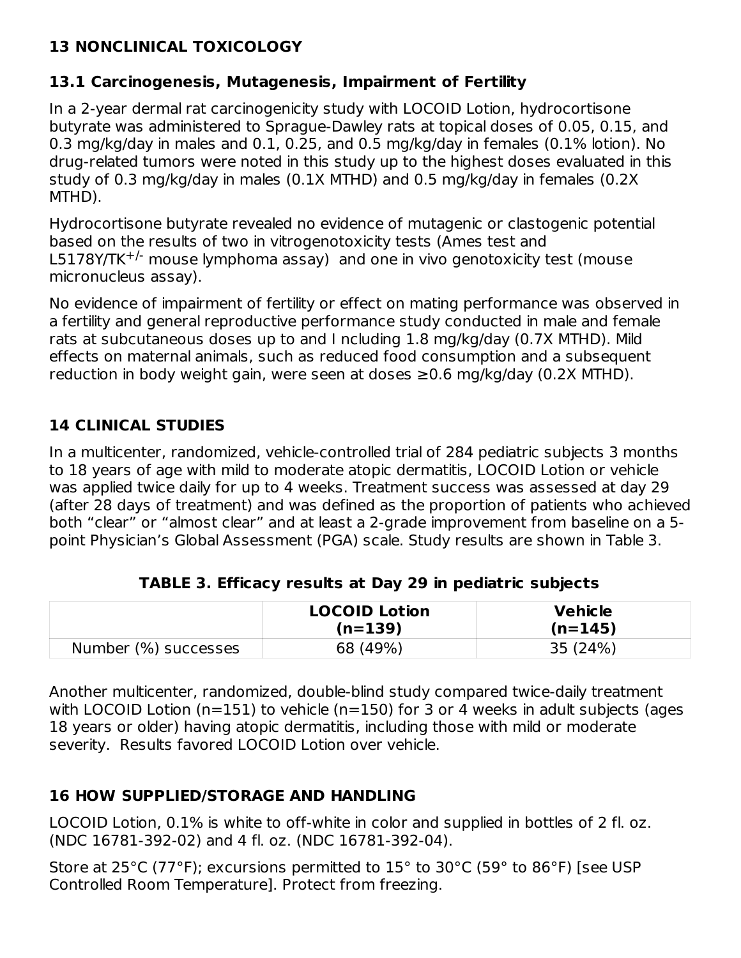# **13 NONCLINICAL TOXICOLOGY**

# **13.1 Carcinogenesis, Mutagenesis, Impairment of Fertility**

In a 2-year dermal rat carcinogenicity study with LOCOID Lotion, hydrocortisone butyrate was administered to Sprague-Dawley rats at topical doses of 0.05, 0.15, and 0.3 mg/kg/day in males and 0.1, 0.25, and 0.5 mg/kg/day in females (0.1% lotion). No drug-related tumors were noted in this study up to the highest doses evaluated in this study of 0.3 mg/kg/day in males (0.1X MTHD) and 0.5 mg/kg/day in females (0.2X MTHD).

Hydrocortisone butyrate revealed no evidence of mutagenic or clastogenic potential based on the results of two in vitrogenotoxicity tests (Ames test and  $L5178Y/TK^{+/}$  mouse lymphoma assay) and one in vivo genotoxicity test (mouse micronucleus assay).

No evidence of impairment of fertility or effect on mating performance was observed in a fertility and general reproductive performance study conducted in male and female rats at subcutaneous doses up to and I ncluding 1.8 mg/kg/day (0.7X MTHD). Mild effects on maternal animals, such as reduced food consumption and a subsequent reduction in body weight gain, were seen at doses  $\geq$ 0.6 mg/kg/day (0.2X MTHD).

### **14 CLINICAL STUDIES**

In a multicenter, randomized, vehicle-controlled trial of 284 pediatric subjects 3 months to 18 years of age with mild to moderate atopic dermatitis, LOCOID Lotion or vehicle was applied twice daily for up to 4 weeks. Treatment success was assessed at day 29 (after 28 days of treatment) and was defined as the proportion of patients who achieved both "clear" or "almost clear" and at least a 2-grade improvement from baseline on a 5 point Physician's Global Assessment (PGA) scale. Study results are shown in Table 3.

|                      | <b>LOCOID Lotion</b><br>$(n=139)$ | <b>Vehicle</b><br>$(n=145)$ |
|----------------------|-----------------------------------|-----------------------------|
| Number (%) successes | 68 (49%)                          | 35 (24%)                    |

**TABLE 3. Efficacy results at Day 29 in pediatric subjects**

Another multicenter, randomized, double-blind study compared twice-daily treatment with LOCOID Lotion ( $n=151$ ) to vehicle ( $n=150$ ) for 3 or 4 weeks in adult subjects (ages 18 years or older) having atopic dermatitis, including those with mild or moderate severity. Results favored LOCOID Lotion over vehicle.

### **16 HOW SUPPLIED/STORAGE AND HANDLING**

LOCOID Lotion, 0.1% is white to off-white in color and supplied in bottles of 2 fl. oz. (NDC 16781-392-02) and 4 fl. oz. (NDC 16781-392-04).

Store at 25°C (77°F); excursions permitted to 15° to 30°C (59° to 86°F) [see USP Controlled Room Temperature]. Protect from freezing.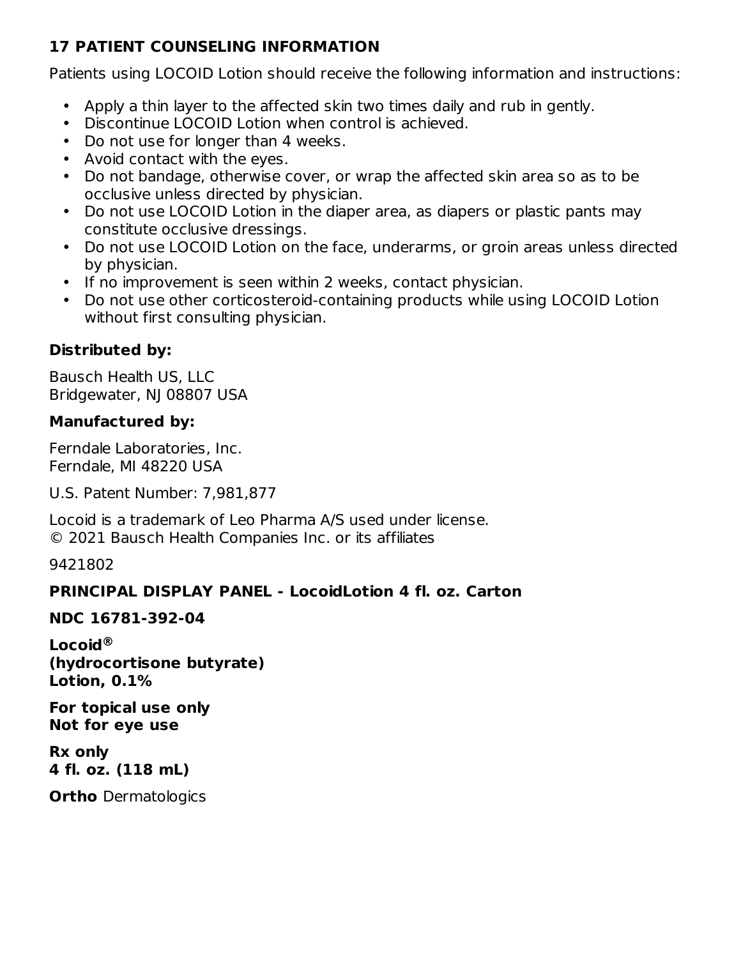## **17 PATIENT COUNSELING INFORMATION**

Patients using LOCOID Lotion should receive the following information and instructions:

- Apply a thin layer to the affected skin two times daily and rub in gently.
- Discontinue LOCOID Lotion when control is achieved.
- Do not use for longer than 4 weeks.
- Avoid contact with the eyes.
- Do not bandage, otherwise cover, or wrap the affected skin area so as to be occlusive unless directed by physician.
- Do not use LOCOID Lotion in the diaper area, as diapers or plastic pants may constitute occlusive dressings.
- Do not use LOCOID Lotion on the face, underarms, or groin areas unless directed by physician.
- If no improvement is seen within 2 weeks, contact physician.
- Do not use other corticosteroid-containing products while using LOCOID Lotion without first consulting physician.

# **Distributed by:**

Bausch Health US, LLC Bridgewater, NJ 08807 USA

# **Manufactured by:**

Ferndale Laboratories, Inc. Ferndale, MI 48220 USA

U.S. Patent Number: 7,981,877

Locoid is a trademark of Leo Pharma A/S used under license. © 2021 Bausch Health Companies Inc. or its affiliates

9421802

# **PRINCIPAL DISPLAY PANEL - LocoidLotion 4 fl. oz. Carton**

# **NDC 16781-392-04**

**Locoid ®(hydrocortisone butyrate) Lotion, 0.1%**

**For topical use only Not for eye use**

**Rx only 4 fl. oz. (118 mL)**

**Ortho** Dermatologics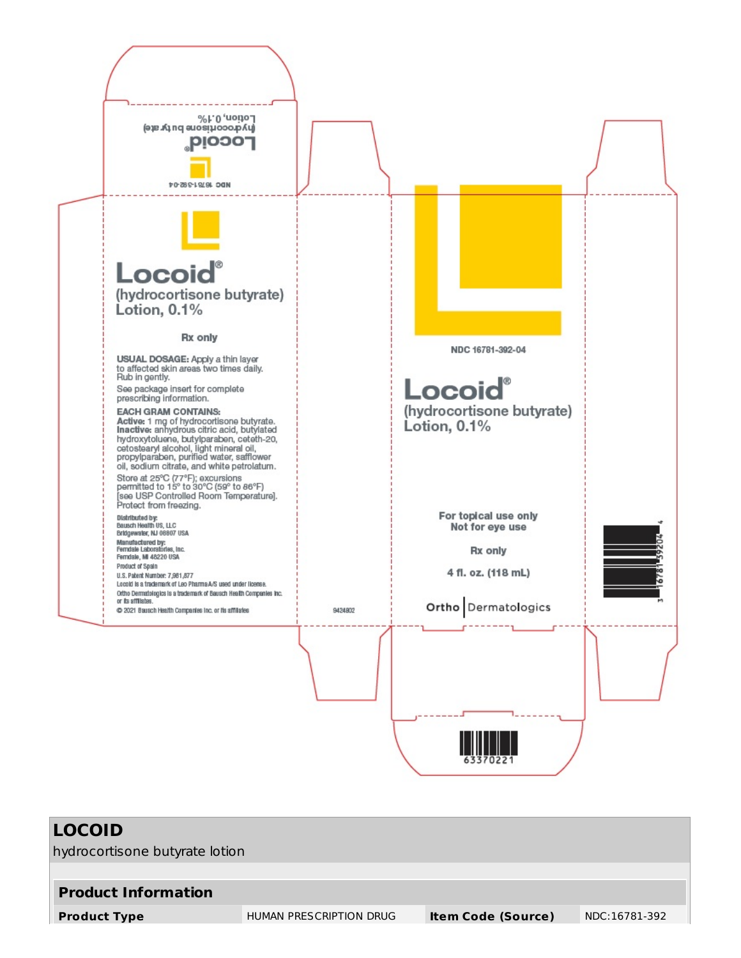

| LOCOID                         |                         |                           |               |
|--------------------------------|-------------------------|---------------------------|---------------|
| hydrocortisone butyrate lotion |                         |                           |               |
|                                |                         |                           |               |
| <b>Product Information</b>     |                         |                           |               |
| <b>Product Type</b>            | HUMAN PRESCRIPTION DRUG | <b>Item Code (Source)</b> | NDC:16781-392 |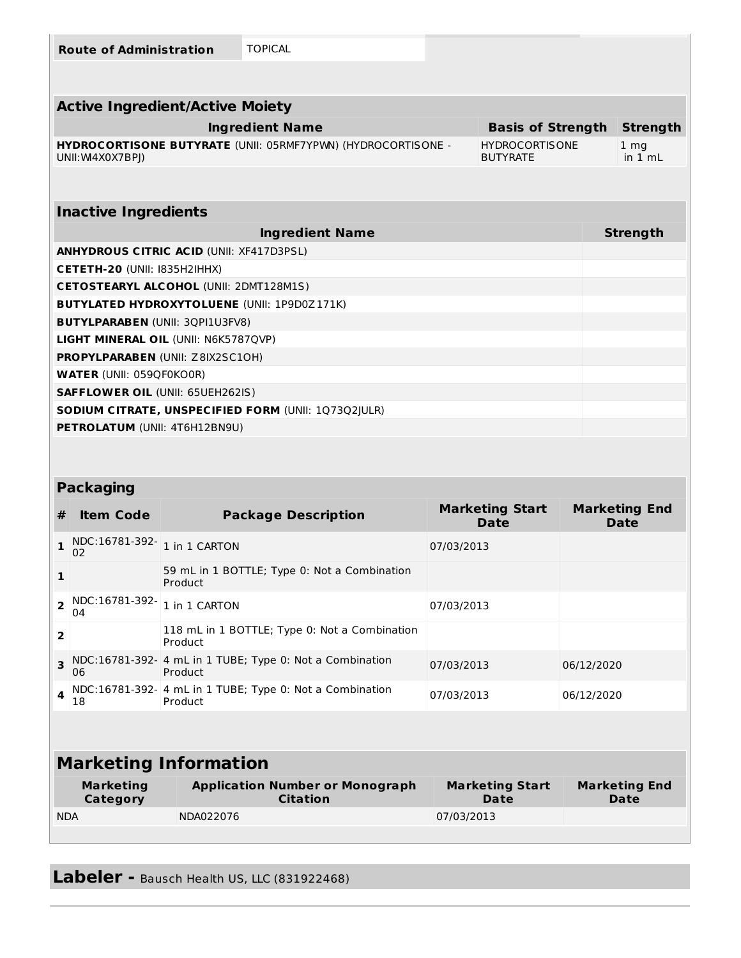|                         | <b>Route of Administration</b>                                      |               | <b>TOPICAL</b>                                               |            |                                          |            |                                     |
|-------------------------|---------------------------------------------------------------------|---------------|--------------------------------------------------------------|------------|------------------------------------------|------------|-------------------------------------|
|                         |                                                                     |               |                                                              |            |                                          |            |                                     |
|                         | <b>Active Ingredient/Active Moiety</b>                              |               |                                                              |            |                                          |            |                                     |
|                         |                                                                     |               | <b>Ingredient Name</b>                                       |            | <b>Basis of Strength</b>                 |            | <b>Strength</b>                     |
|                         | UNII: W4X0X7BPJ)                                                    |               | HYDROCORTISONE BUTYRATE (UNII: 05RMF7YPWN) (HYDROCORTISONE - |            | <b>HYDROCORTISONE</b><br><b>BUTYRATE</b> |            | 1 <sub>mg</sub><br>in 1 mL          |
|                         |                                                                     |               |                                                              |            |                                          |            |                                     |
|                         | <b>Inactive Ingredients</b>                                         |               |                                                              |            |                                          |            |                                     |
|                         |                                                                     |               | <b>Ingredient Name</b>                                       |            |                                          |            | <b>Strength</b>                     |
|                         | <b>ANHYDROUS CITRIC ACID (UNII: XF417D3PSL)</b>                     |               |                                                              |            |                                          |            |                                     |
|                         | CETETH-20 (UNII: 1835H2IHHX)                                        |               |                                                              |            |                                          |            |                                     |
|                         | <b>CETOSTEARYL ALCOHOL (UNII: 2DMT128M1S)</b>                       |               |                                                              |            |                                          |            |                                     |
|                         |                                                                     |               | <b>BUTYLATED HYDROXYTOLUENE (UNII: 1P9D0Z171K)</b>           |            |                                          |            |                                     |
|                         | <b>BUTYLPARABEN (UNII: 3QPI1U3FV8)</b>                              |               |                                                              |            |                                          |            |                                     |
|                         | LIGHT MINERAL OIL (UNII: N6K5787QVP)                                |               |                                                              |            |                                          |            |                                     |
|                         | PROPYLPARABEN (UNII: Z8IX2SC10H)<br><b>WATER (UNII: 059QF0KO0R)</b> |               |                                                              |            |                                          |            |                                     |
|                         | <b>SAFFLOWER OIL (UNII: 65UEH262IS)</b>                             |               |                                                              |            |                                          |            |                                     |
|                         |                                                                     |               | SODIUM CITRATE, UNSPECIFIED FORM (UNII: 1Q73Q2JULR)          |            |                                          |            |                                     |
|                         | PETROLATUM (UNII: 4T6H12BN9U)                                       |               |                                                              |            |                                          |            |                                     |
|                         |                                                                     |               |                                                              |            |                                          |            |                                     |
|                         |                                                                     |               |                                                              |            |                                          |            |                                     |
|                         | <b>Packaging</b>                                                    |               |                                                              |            |                                          |            |                                     |
| #                       | <b>Item Code</b>                                                    |               | <b>Package Description</b>                                   |            | <b>Marketing Start</b><br><b>Date</b>    |            | <b>Marketing End</b><br><b>Date</b> |
| 1                       | NDC:16781-392-1 in 1 CARTON<br>02                                   |               |                                                              | 07/03/2013 |                                          |            |                                     |
| 1                       |                                                                     | Product       | 59 mL in 1 BOTTLE; Type 0: Not a Combination                 |            |                                          |            |                                     |
| $\overline{\mathbf{2}}$ | NDC:16781-392-<br>04                                                | 1 in 1 CARTON |                                                              | 07/03/2013 |                                          |            |                                     |
| $\overline{2}$          |                                                                     | Product       | 118 mL in 1 BOTTLE; Type 0: Not a Combination                |            |                                          |            |                                     |
| 3                       | 06                                                                  | Product       | NDC:16781-392- 4 mL in 1 TUBE; Type 0: Not a Combination     | 07/03/2013 |                                          | 06/12/2020 |                                     |
| 4                       | 18                                                                  | Product       | NDC:16781-392- 4 mL in 1 TUBE; Type 0: Not a Combination     | 07/03/2013 |                                          | 06/12/2020 |                                     |
|                         |                                                                     |               |                                                              |            |                                          |            |                                     |
|                         | <b>Marketing Information</b>                                        |               |                                                              |            |                                          |            |                                     |
|                         | <b>Marketing</b>                                                    |               |                                                              |            | <b>Marketing Start</b>                   |            |                                     |
|                         | <b>Category</b>                                                     |               | <b>Application Number or Monograph</b><br><b>Citation</b>    |            | <b>Date</b>                              |            | <b>Marketing End</b><br><b>Date</b> |
| <b>NDA</b>              |                                                                     | NDA022076     |                                                              | 07/03/2013 |                                          |            |                                     |

**Labeler** - Bausch Health US, LLC (831922468)